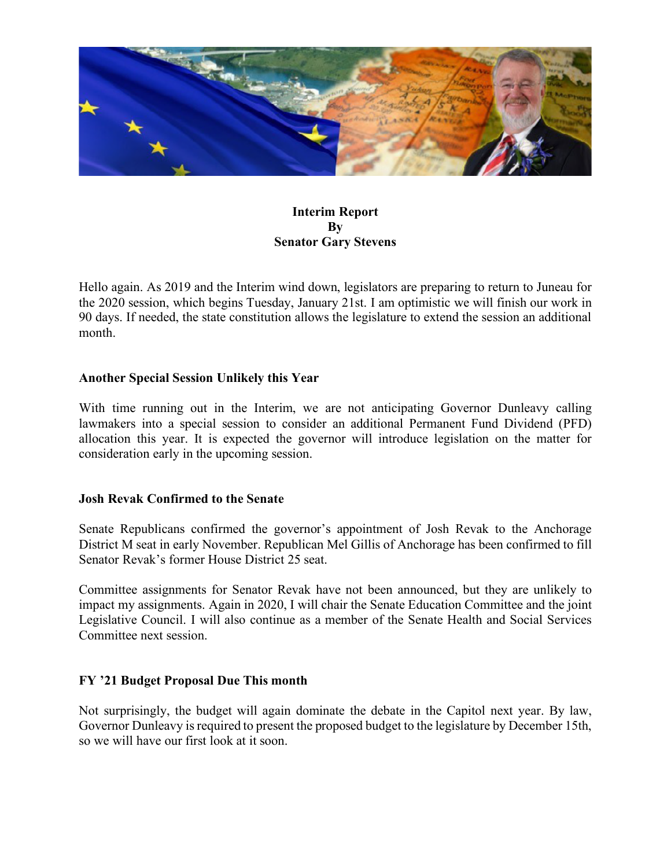

# **Interim Report By Senator Gary Stevens**

Hello again. As 2019 and the Interim wind down, legislators are preparing to return to Juneau for the 2020 session, which begins Tuesday, January 21st. I am optimistic we will finish our work in 90 days. If needed, the state constitution allows the legislature to extend the session an additional month.

# **Another Special Session Unlikely this Year**

With time running out in the Interim, we are not anticipating Governor Dunleavy calling lawmakers into a special session to consider an additional Permanent Fund Dividend (PFD) allocation this year. It is expected the governor will introduce legislation on the matter for consideration early in the upcoming session.

# **Josh Revak Confirmed to the Senate**

Senate Republicans confirmed the governor's appointment of Josh Revak to the Anchorage District M seat in early November. Republican Mel Gillis of Anchorage has been confirmed to fill Senator Revak's former House District 25 seat.

Committee assignments for Senator Revak have not been announced, but they are unlikely to impact my assignments. Again in 2020, I will chair the Senate Education Committee and the joint Legislative Council. I will also continue as a member of the Senate Health and Social Services Committee next session.

# **FY '21 Budget Proposal Due This month**

Not surprisingly, the budget will again dominate the debate in the Capitol next year. By law, Governor Dunleavy is required to present the proposed budget to the legislature by December 15th, so we will have our first look at it soon.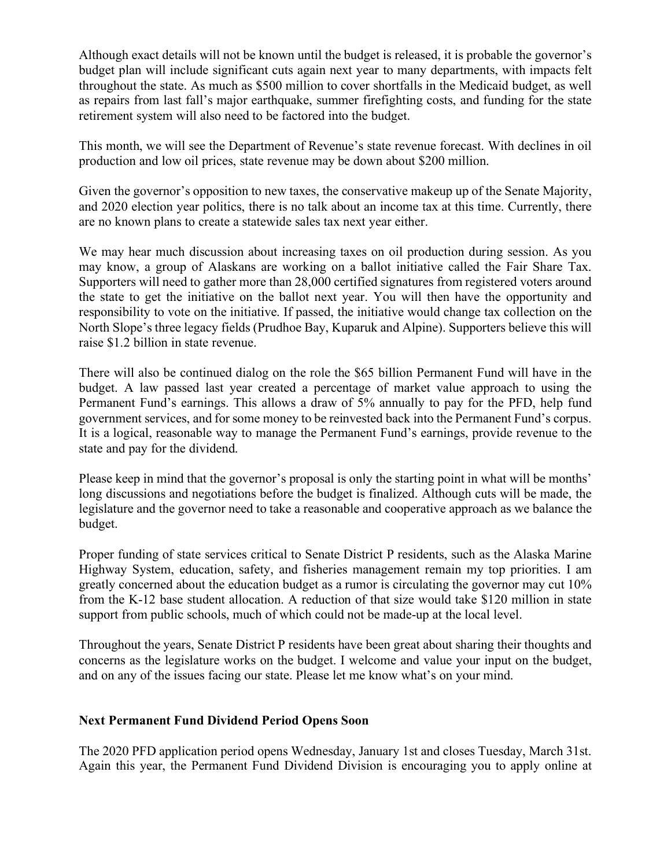Although exact details will not be known until the budget is released, it is probable the governor's budget plan will include significant cuts again next year to many departments, with impacts felt throughout the state. As much as \$500 million to cover shortfalls in the Medicaid budget, as well as repairs from last fall's major earthquake, summer firefighting costs, and funding for the state retirement system will also need to be factored into the budget.

This month, we will see the Department of Revenue's state revenue forecast. With declines in oil production and low oil prices, state revenue may be down about \$200 million.

Given the governor's opposition to new taxes, the conservative makeup up of the Senate Majority, and 2020 election year politics, there is no talk about an income tax at this time. Currently, there are no known plans to create a statewide sales tax next year either.

We may hear much discussion about increasing taxes on oil production during session. As you may know, a group of Alaskans are working on a ballot initiative called the Fair Share Tax. Supporters will need to gather more than 28,000 certified signatures from registered voters around the state to get the initiative on the ballot next year. You will then have the opportunity and responsibility to vote on the initiative. If passed, the initiative would change tax collection on the North Slope's three legacy fields (Prudhoe Bay, Kuparuk and Alpine). Supporters believe this will raise \$1.2 billion in state revenue.

There will also be continued dialog on the role the \$65 billion Permanent Fund will have in the budget. A law passed last year created a percentage of market value approach to using the Permanent Fund's earnings. This allows a draw of 5% annually to pay for the PFD, help fund government services, and for some money to be reinvested back into the Permanent Fund's corpus. It is a logical, reasonable way to manage the Permanent Fund's earnings, provide revenue to the state and pay for the dividend.

Please keep in mind that the governor's proposal is only the starting point in what will be months' long discussions and negotiations before the budget is finalized. Although cuts will be made, the legislature and the governor need to take a reasonable and cooperative approach as we balance the budget.

Proper funding of state services critical to Senate District P residents, such as the Alaska Marine Highway System, education, safety, and fisheries management remain my top priorities. I am greatly concerned about the education budget as a rumor is circulating the governor may cut 10% from the K-12 base student allocation. A reduction of that size would take \$120 million in state support from public schools, much of which could not be made-up at the local level.

Throughout the years, Senate District P residents have been great about sharing their thoughts and concerns as the legislature works on the budget. I welcome and value your input on the budget, and on any of the issues facing our state. Please let me know what's on your mind.

# **Next Permanent Fund Dividend Period Opens Soon**

The 2020 PFD application period opens Wednesday, January 1st and closes Tuesday, March 31st. Again this year, the Permanent Fund Dividend Division is encouraging you to apply online at